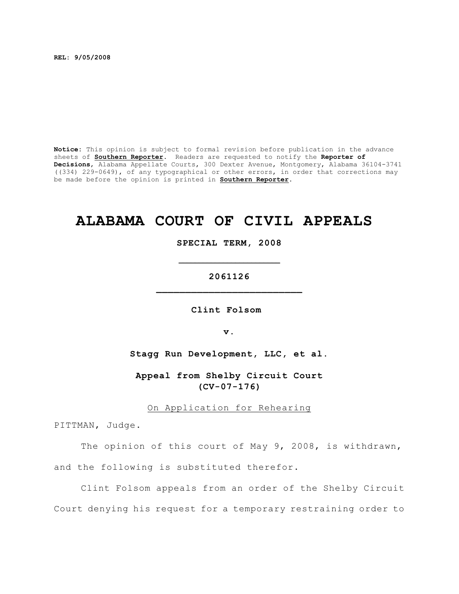**REL: 9/05/2008**

**Notice:** This opinion is subject to formal revision before publication in the advance sheets of **Southern Reporter**. Readers are requested to notify the **Reporter of Decisions**, Alabama Appellate Courts, 300 Dexter Avenue, Montgomery, Alabama 36104-3741 ((334) 229-0649), of any typographical or other errors, in order that corrections may be made before the opinion is printed in **Southern Reporter**.

# **ALABAMA COURT OF CIVIL APPEALS**

**SPECIAL TERM, 2008**

**2061126 \_\_\_\_\_\_\_\_\_\_\_\_\_\_\_\_\_\_\_\_\_\_\_\_\_**

**\_\_\_\_\_\_\_\_\_\_\_\_\_\_\_\_\_\_\_\_\_\_\_\_\_**

**Clint Folsom** 

**v.**

**Stagg Run Development, LLC, et al.**

**Appeal from Shelby Circuit Court (CV-07-176)**

On Application for Rehearing

PITTMAN, Judge.

The opinion of this court of May 9, 2008, is withdrawn, and the following is substituted therefor.

Clint Folsom appeals from an order of the Shelby Circuit Court denying his request for a temporary restraining order to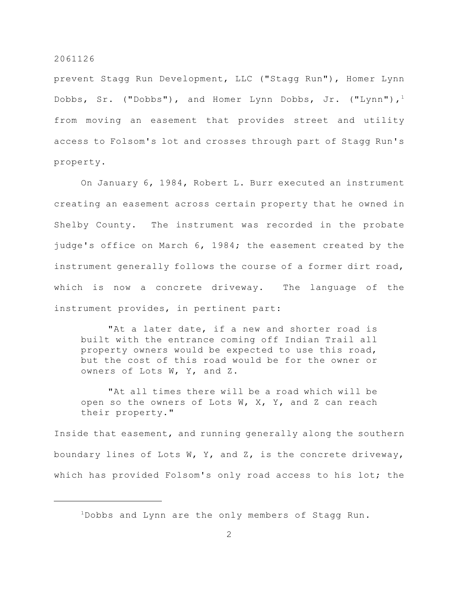prevent Stagg Run Development, LLC ("Stagg Run"), Homer Lynn Dobbs, Sr. ("Dobbs"), and Homer Lynn Dobbs, Jr. ("Lynn"), $^1$ from moving an easement that provides street and utility access to Folsom's lot and crosses through part of Stagg Run's property.

On January 6, 1984, Robert L. Burr executed an instrument creating an easement across certain property that he owned in Shelby County. The instrument was recorded in the probate judge's office on March 6, 1984; the easement created by the instrument generally follows the course of a former dirt road, which is now a concrete driveway. The language of the instrument provides, in pertinent part:

"At a later date, if a new and shorter road is built with the entrance coming off Indian Trail all property owners would be expected to use this road, but the cost of this road would be for the owner or owners of Lots W, Y, and Z.

"At all times there will be a road which will be open so the owners of Lots W,  $X$ , Y, and Z can reach their property."

Inside that easement, and running generally along the southern boundary lines of Lots W, Y, and Z, is the concrete driveway, which has provided Folsom's only road access to his lot; the

 $1$ Dobbs and Lynn are the only members of Stagg Run.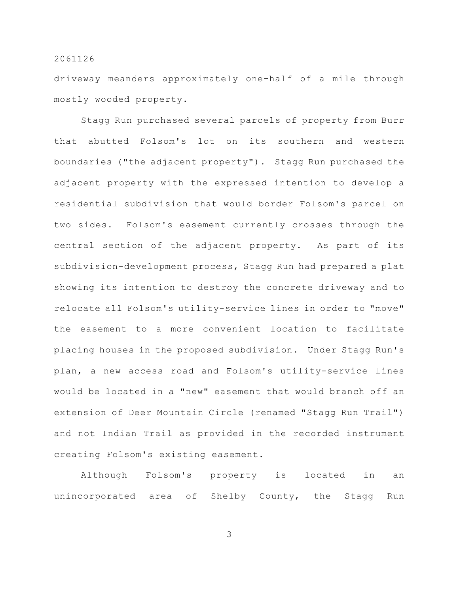driveway meanders approximately one-half of a mile through mostly wooded property.

Stagg Run purchased several parcels of property from Burr that abutted Folsom's lot on its southern and western boundaries ("the adjacent property"). Stagg Run purchased the adjacent property with the expressed intention to develop a residential subdivision that would border Folsom's parcel on two sides. Folsom's easement currently crosses through the central section of the adjacent property. As part of its subdivision-development process, Stagg Run had prepared a plat showing its intention to destroy the concrete driveway and to relocate all Folsom's utility-service lines in order to "move" the easement to a more convenient location to facilitate placing houses in the proposed subdivision. Under Stagg Run's plan, a new access road and Folsom's utility-service lines would be located in a "new" easement that would branch off an extension of Deer Mountain Circle (renamed "Stagg Run Trail") and not Indian Trail as provided in the recorded instrument creating Folsom's existing easement.

Although Folsom's property is located in an unincorporated area of Shelby County, the Stagg Run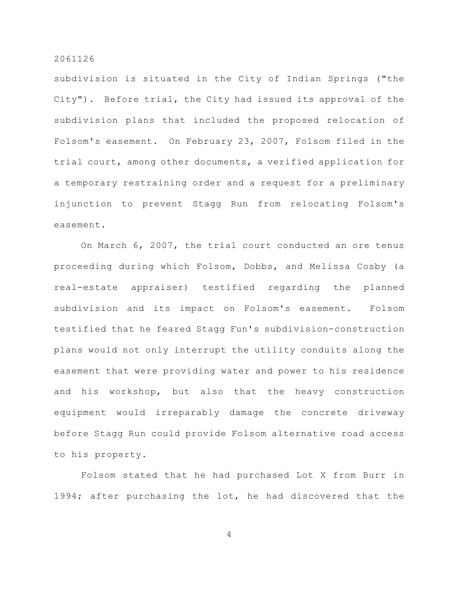subdivision is situated in the City of Indian Springs ("the City"). Before trial, the City had issued its approval of the subdivision plans that included the proposed relocation of Folsom's easement. On February 23, 2007, Folsom filed in the trial court, among other documents, a verified application for a temporary restraining order and a request for a preliminary injunction to prevent Stagg Run from relocating Folsom's easement.

On March 6, 2007, the trial court conducted an ore tenus proceeding during which Folsom, Dobbs, and Melissa Cosby (a real-estate appraiser) testified regarding the planned subdivision and its impact on Folsom's easement. Folsom testified that he feared Stagg Fun's subdivision-construction plans would not only interrupt the utility conduits along the easement that were providing water and power to his residence and his workshop, but also that the heavy construction equipment would irreparably damage the concrete driveway before Stagg Run could provide Folsom alternative road access to his property.

Folsom stated that he had purchased Lot X from Burr in 1994; after purchasing the lot, he had discovered that the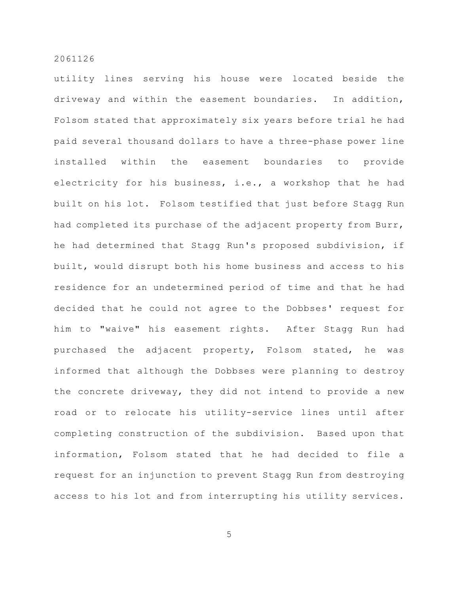utility lines serving his house were located beside the driveway and within the easement boundaries. In addition, Folsom stated that approximately six years before trial he had paid several thousand dollars to have a three-phase power line installed within the easement boundaries to provide electricity for his business, i.e., a workshop that he had built on his lot. Folsom testified that just before Stagg Run had completed its purchase of the adjacent property from Burr, he had determined that Stagg Run's proposed subdivision, if built, would disrupt both his home business and access to his residence for an undetermined period of time and that he had decided that he could not agree to the Dobbses' request for him to "waive" his easement rights. After Stagg Run had purchased the adjacent property, Folsom stated, he was informed that although the Dobbses were planning to destroy the concrete driveway, they did not intend to provide a new road or to relocate his utility-service lines until after completing construction of the subdivision. Based upon that information, Folsom stated that he had decided to file a request for an injunction to prevent Stagg Run from destroying access to his lot and from interrupting his utility services.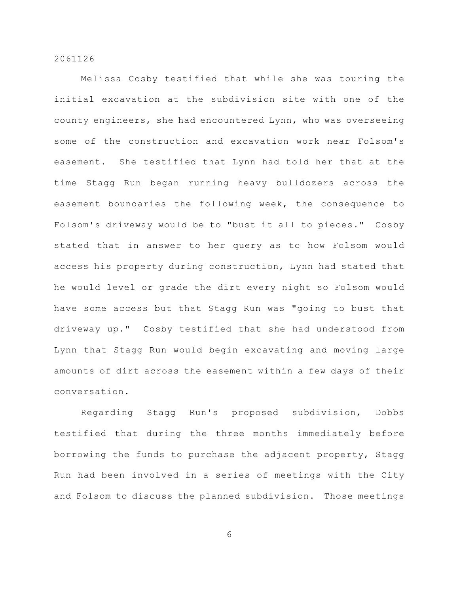Melissa Cosby testified that while she was touring the initial excavation at the subdivision site with one of the county engineers, she had encountered Lynn, who was overseeing some of the construction and excavation work near Folsom's easement. She testified that Lynn had told her that at the time Stagg Run began running heavy bulldozers across the easement boundaries the following week, the consequence to Folsom's driveway would be to "bust it all to pieces." Cosby stated that in answer to her query as to how Folsom would access his property during construction, Lynn had stated that he would level or grade the dirt every night so Folsom would have some access but that Stagg Run was "going to bust that driveway up." Cosby testified that she had understood from Lynn that Stagg Run would begin excavating and moving large amounts of dirt across the easement within a few days of their conversation.

Regarding Stagg Run's proposed subdivision, Dobbs testified that during the three months immediately before borrowing the funds to purchase the adjacent property, Stagg Run had been involved in a series of meetings with the City and Folsom to discuss the planned subdivision. Those meetings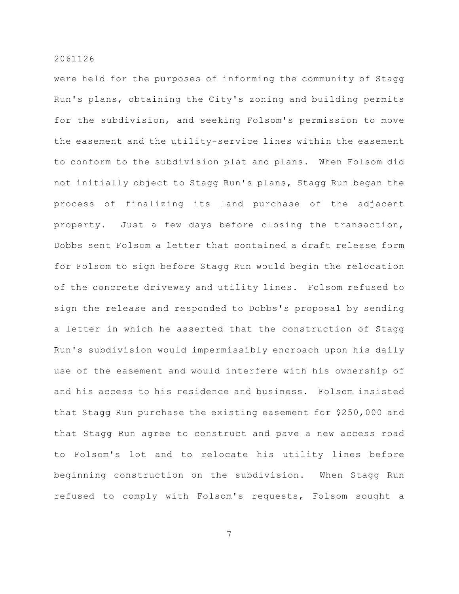were held for the purposes of informing the community of Stagg Run's plans, obtaining the City's zoning and building permits for the subdivision, and seeking Folsom's permission to move the easement and the utility-service lines within the easement to conform to the subdivision plat and plans. When Folsom did not initially object to Stagg Run's plans, Stagg Run began the process of finalizing its land purchase of the adjacent property. Just a few days before closing the transaction, Dobbs sent Folsom a letter that contained a draft release form for Folsom to sign before Stagg Run would begin the relocation of the concrete driveway and utility lines. Folsom refused to sign the release and responded to Dobbs's proposal by sending a letter in which he asserted that the construction of Stagg Run's subdivision would impermissibly encroach upon his daily use of the easement and would interfere with his ownership of and his access to his residence and business. Folsom insisted that Stagg Run purchase the existing easement for \$250,000 and that Stagg Run agree to construct and pave a new access road to Folsom's lot and to relocate his utility lines before beginning construction on the subdivision. When Stagg Run refused to comply with Folsom's requests, Folsom sought a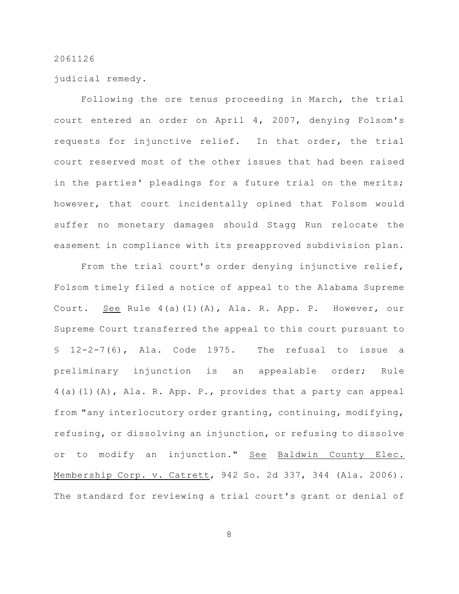judicial remedy.

Following the ore tenus proceeding in March, the trial court entered an order on April 4, 2007, denying Folsom's requests for injunctive relief. In that order, the trial court reserved most of the other issues that had been raised in the parties' pleadings for a future trial on the merits; however, that court incidentally opined that Folsom would suffer no monetary damages should Stagg Run relocate the easement in compliance with its preapproved subdivision plan.

From the trial court's order denying injunctive relief, Folsom timely filed a notice of appeal to the Alabama Supreme Court. See Rule 4(a)(1)(A), Ala. R. App. P. However, our Supreme Court transferred the appeal to this court pursuant to  $$ 12-2-7(6)$ , Ala. Code 1975. The refusal to issue a preliminary injunction is an appealable order; Rule 4(a)(1)(A), Ala. R. App. P., provides that a party can appeal from "any interlocutory order granting, continuing, modifying, refusing, or dissolving an injunction, or refusing to dissolve or to modify an injunction." See Baldwin County Elec. Membership Corp. v. Catrett, 942 So. 2d 337, 344 (Ala. 2006). The standard for reviewing a trial court's grant or denial of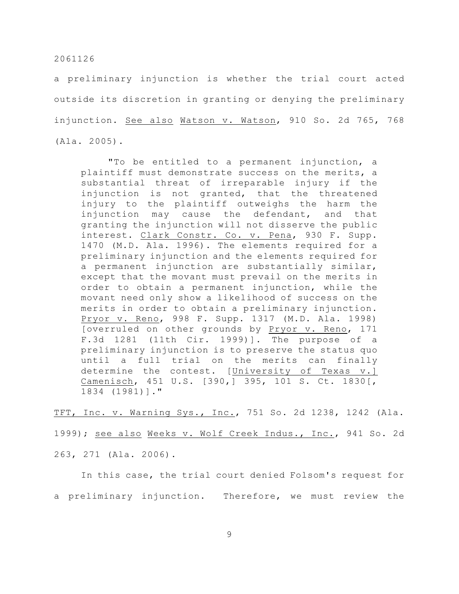a preliminary injunction is whether the trial court acted outside its discretion in granting or denying the preliminary injunction. See also Watson v. Watson, 910 So. 2d 765, 768 (Ala. 2005).

"To be entitled to a permanent injunction, a plaintiff must demonstrate success on the merits, a substantial threat of irreparable injury if the injunction is not granted, that the threatened injury to the plaintiff outweighs the harm the injunction may cause the defendant, and that granting the injunction will not disserve the public interest. Clark Constr. Co. v. Pena, 930 F. Supp. 1470 (M.D. Ala. 1996). The elements required for a preliminary injunction and the elements required for a permanent injunction are substantially similar, except that the movant must prevail on the merits in order to obtain a permanent injunction, while the movant need only show a likelihood of success on the merits in order to obtain a preliminary injunction. Pryor v. Reno, 998 F. Supp. 1317 (M.D. Ala. 1998) [overruled on other grounds by Pryor v. Reno, 171 F.3d 1281 (11th Cir. 1999)]. The purpose of a preliminary injunction is to preserve the status quo until a full trial on the merits can finally determine the contest. [University of Texas v.] Camenisch, 451 U.S. [390,] 395, 101 S. Ct. 1830[, 1834 (1981)]."

TFT, Inc. v. Warning Sys., Inc., 751 So. 2d 1238, 1242 (Ala. 1999); see also Weeks v. Wolf Creek Indus., Inc., 941 So. 2d 263, 271 (Ala. 2006).

In this case, the trial court denied Folsom's request for a preliminary injunction. Therefore, we must review the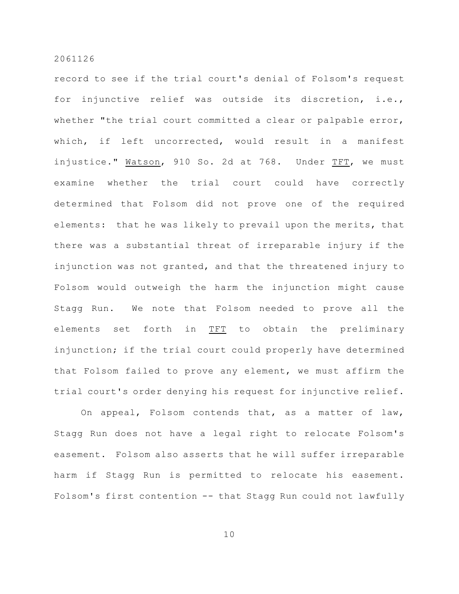record to see if the trial court's denial of Folsom's request for injunctive relief was outside its discretion, i.e., whether "the trial court committed a clear or palpable error, which, if left uncorrected, would result in a manifest injustice." Watson, 910 So. 2d at 768. Under TFT, we must examine whether the trial court could have correctly determined that Folsom did not prove one of the required elements: that he was likely to prevail upon the merits, that there was a substantial threat of irreparable injury if the injunction was not granted, and that the threatened injury to Folsom would outweigh the harm the injunction might cause Stagg Run. We note that Folsom needed to prove all the elements set forth in TFT to obtain the preliminary injunction; if the trial court could properly have determined that Folsom failed to prove any element, we must affirm the trial court's order denying his request for injunctive relief.

On appeal, Folsom contends that, as a matter of law, Stagg Run does not have a legal right to relocate Folsom's easement. Folsom also asserts that he will suffer irreparable harm if Stagg Run is permitted to relocate his easement. Folsom's first contention -- that Stagg Run could not lawfully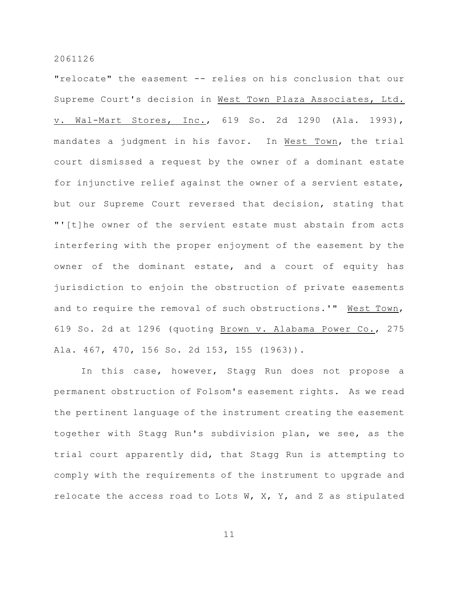"relocate" the easement -- relies on his conclusion that our Supreme Court's decision in West Town Plaza Associates, Ltd. v. Wal-Mart Stores, Inc., 619 So. 2d 1290 (Ala. 1993), mandates a judgment in his favor. In West Town, the trial court dismissed a request by the owner of a dominant estate for injunctive relief against the owner of a servient estate, but our Supreme Court reversed that decision, stating that "'[t]he owner of the servient estate must abstain from acts interfering with the proper enjoyment of the easement by the owner of the dominant estate, and a court of equity has jurisdiction to enjoin the obstruction of private easements and to require the removal of such obstructions.'" West Town, 619 So. 2d at 1296 (quoting Brown v. Alabama Power Co., 275 Ala. 467, 470, 156 So. 2d 153, 155 (1963)).

In this case, however, Stagg Run does not propose a permanent obstruction of Folsom's easement rights. As we read the pertinent language of the instrument creating the easement together with Stagg Run's subdivision plan, we see, as the trial court apparently did, that Stagg Run is attempting to comply with the requirements of the instrument to upgrade and relocate the access road to Lots W, X, Y, and Z as stipulated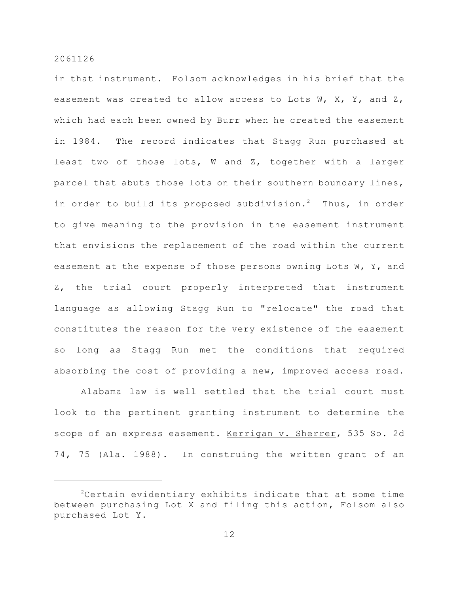in that instrument. Folsom acknowledges in his brief that the easement was created to allow access to Lots W, X, Y, and Z, which had each been owned by Burr when he created the easement in 1984. The record indicates that Stagg Run purchased at least two of those lots, W and Z, together with a larger parcel that abuts those lots on their southern boundary lines, in order to build its proposed subdivision.<sup>2</sup> Thus, in order to give meaning to the provision in the easement instrument that envisions the replacement of the road within the current easement at the expense of those persons owning Lots W, Y, and Z, the trial court properly interpreted that instrument language as allowing Stagg Run to "relocate" the road that constitutes the reason for the very existence of the easement so long as Stagg Run met the conditions that required absorbing the cost of providing a new, improved access road.

Alabama law is well settled that the trial court must look to the pertinent granting instrument to determine the scope of an express easement. Kerrigan v. Sherrer, 535 So. 2d 74, 75 (Ala. 1988). In construing the written grant of an

 $2$ Certain evidentiary exhibits indicate that at some time between purchasing Lot X and filing this action, Folsom also purchased Lot Y.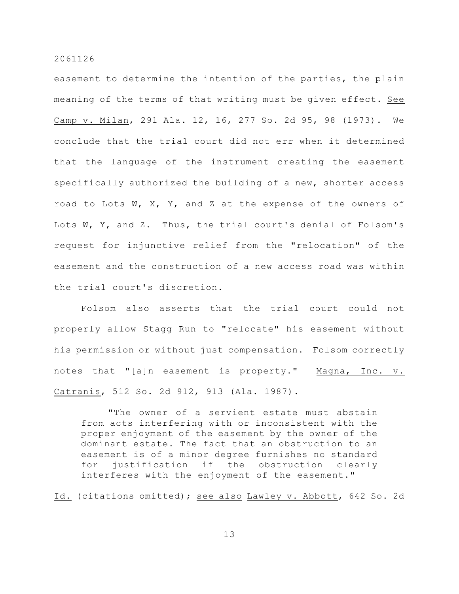easement to determine the intention of the parties, the plain meaning of the terms of that writing must be given effect. See Camp v. Milan, 291 Ala. 12, 16, 277 So. 2d 95, 98 (1973). We conclude that the trial court did not err when it determined that the language of the instrument creating the easement specifically authorized the building of a new, shorter access road to Lots W, X, Y, and Z at the expense of the owners of Lots W, Y, and Z. Thus, the trial court's denial of Folsom's request for injunctive relief from the "relocation" of the easement and the construction of a new access road was within the trial court's discretion.

Folsom also asserts that the trial court could not properly allow Stagg Run to "relocate" his easement without his permission or without just compensation. Folsom correctly notes that "[a]n easement is property." Magna, Inc. v. Catranis, 512 So. 2d 912, 913 (Ala. 1987).

"The owner of a servient estate must abstain from acts interfering with or inconsistent with the proper enjoyment of the easement by the owner of the dominant estate. The fact that an obstruction to an easement is of a minor degree furnishes no standard for justification if the obstruction clearly interferes with the enjoyment of the easement."

Id. (citations omitted); see also Lawley v. Abbott, 642 So. 2d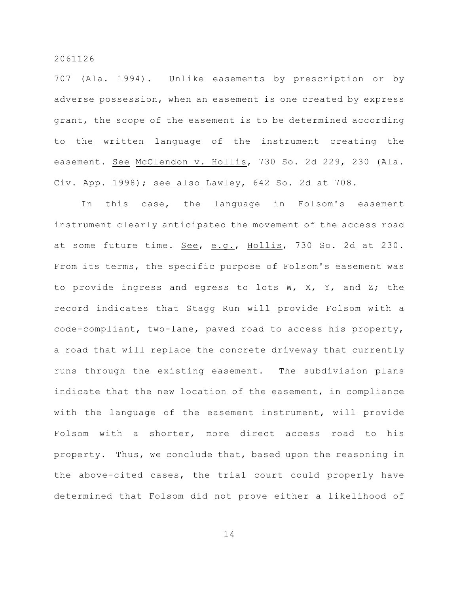707 (Ala. 1994). Unlike easements by prescription or by adverse possession, when an easement is one created by express grant, the scope of the easement is to be determined according to the written language of the instrument creating the easement. See McClendon v. Hollis, 730 So. 2d 229, 230 (Ala. Civ. App. 1998); see also Lawley, 642 So. 2d at 708.

In this case, the language in Folsom's easement instrument clearly anticipated the movement of the access road at some future time. See, e.g., Hollis, 730 So. 2d at 230. From its terms, the specific purpose of Folsom's easement was to provide ingress and egress to lots W, X, Y, and Z; the record indicates that Stagg Run will provide Folsom with a code-compliant, two-lane, paved road to access his property, a road that will replace the concrete driveway that currently runs through the existing easement. The subdivision plans indicate that the new location of the easement, in compliance with the language of the easement instrument, will provide Folsom with a shorter, more direct access road to his property. Thus, we conclude that, based upon the reasoning in the above-cited cases, the trial court could properly have determined that Folsom did not prove either a likelihood of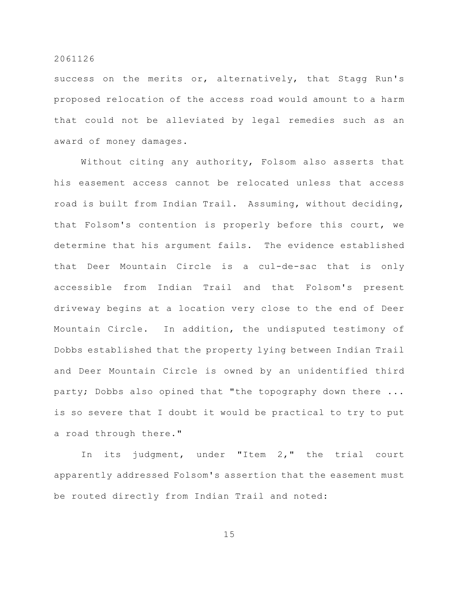success on the merits or, alternatively, that Stagg Run's proposed relocation of the access road would amount to a harm that could not be alleviated by legal remedies such as an award of money damages.

Without citing any authority, Folsom also asserts that his easement access cannot be relocated unless that access road is built from Indian Trail. Assuming, without deciding, that Folsom's contention is properly before this court, we determine that his argument fails. The evidence established that Deer Mountain Circle is a cul-de-sac that is only accessible from Indian Trail and that Folsom's present driveway begins at a location very close to the end of Deer Mountain Circle. In addition, the undisputed testimony of Dobbs established that the property lying between Indian Trail and Deer Mountain Circle is owned by an unidentified third party; Dobbs also opined that "the topography down there ... is so severe that I doubt it would be practical to try to put a road through there."

In its judgment, under "Item 2," the trial court apparently addressed Folsom's assertion that the easement must be routed directly from Indian Trail and noted: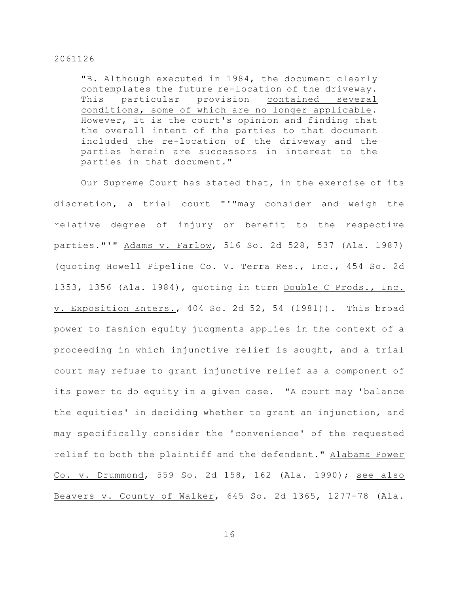"B. Although executed in 1984, the document clearly contemplates the future re-location of the driveway. This particular provision contained several conditions, some of which are no longer applicable. However, it is the court's opinion and finding that the overall intent of the parties to that document included the re-location of the driveway and the parties herein are successors in interest to the parties in that document."

Our Supreme Court has stated that, in the exercise of its discretion, a trial court "'"may consider and weigh the relative degree of injury or benefit to the respective parties."'" Adams v. Farlow, 516 So. 2d 528, 537 (Ala. 1987) (quoting Howell Pipeline Co. V. Terra Res., Inc., 454 So. 2d 1353, 1356 (Ala. 1984), quoting in turn Double C Prods., Inc. v. Exposition Enters., 404 So. 2d 52, 54 (1981)). This broad power to fashion equity judgments applies in the context of a proceeding in which injunctive relief is sought, and a trial court may refuse to grant injunctive relief as a component of its power to do equity in a given case. "A court may 'balance the equities' in deciding whether to grant an injunction, and may specifically consider the 'convenience' of the requested relief to both the plaintiff and the defendant." Alabama Power Co. v. Drummond, 559 So. 2d 158, 162 (Ala. 1990); see also Beavers v. County of Walker, 645 So. 2d 1365, 1277-78 (Ala.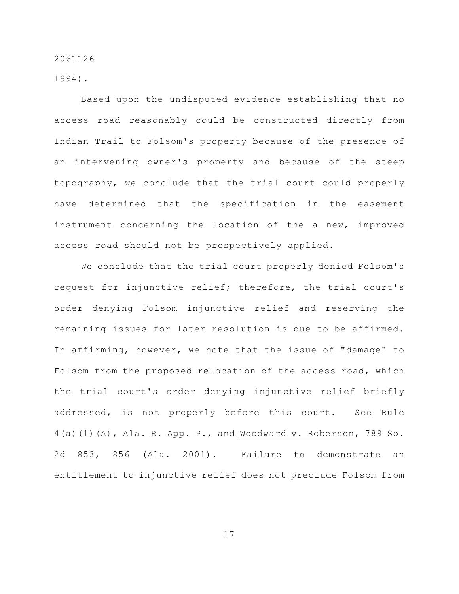1994).

Based upon the undisputed evidence establishing that no access road reasonably could be constructed directly from Indian Trail to Folsom's property because of the presence of an intervening owner's property and because of the steep topography, we conclude that the trial court could properly have determined that the specification in the easement instrument concerning the location of the a new, improved access road should not be prospectively applied.

We conclude that the trial court properly denied Folsom's request for injunctive relief; therefore, the trial court's order denying Folsom injunctive relief and reserving the remaining issues for later resolution is due to be affirmed. In affirming, however, we note that the issue of "damage" to Folsom from the proposed relocation of the access road, which the trial court's order denying injunctive relief briefly addressed, is not properly before this court. See Rule 4(a)(1)(A), Ala. R. App. P., and Woodward v. Roberson, 789 So. 2d 853, 856 (Ala. 2001). Failure to demonstrate an entitlement to injunctive relief does not preclude Folsom from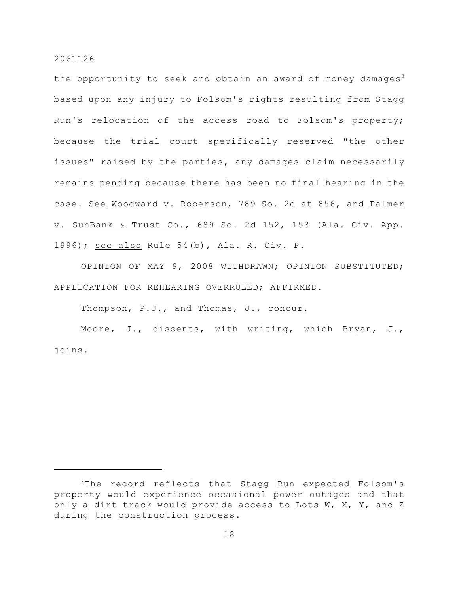the opportunity to seek and obtain an award of money damages<sup>3</sup> based upon any injury to Folsom's rights resulting from Stagg Run's relocation of the access road to Folsom's property; because the trial court specifically reserved "the other issues" raised by the parties, any damages claim necessarily remains pending because there has been no final hearing in the case. See Woodward v. Roberson, 789 So. 2d at 856, and Palmer v. SunBank & Trust Co., 689 So. 2d 152, 153 (Ala. Civ. App. 1996); see also Rule 54(b), Ala. R. Civ. P.

OPINION OF MAY 9, 2008 WITHDRAWN; OPINION SUBSTITUTED; APPLICATION FOR REHEARING OVERRULED; AFFIRMED.

Thompson, P.J., and Thomas, J., concur.

Moore, J., dissents, with writing, which Bryan, J., joins.

 $3$ The record reflects that Stagg Run expected Folsom's property would experience occasional power outages and that only a dirt track would provide access to Lots W, X, Y, and Z during the construction process.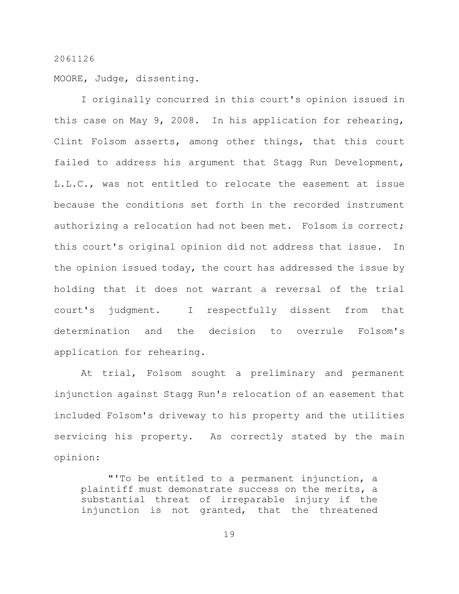MOORE, Judge, dissenting.

I originally concurred in this court's opinion issued in this case on May 9, 2008. In his application for rehearing, Clint Folsom asserts, among other things, that this court failed to address his argument that Stagg Run Development, L.L.C., was not entitled to relocate the easement at issue because the conditions set forth in the recorded instrument authorizing a relocation had not been met. Folsom is correct; this court's original opinion did not address that issue. In the opinion issued today, the court has addressed the issue by holding that it does not warrant a reversal of the trial court's judgment. I respectfully dissent from that determination and the decision to overrule Folsom's application for rehearing.

At trial, Folsom sought a preliminary and permanent injunction against Stagg Run's relocation of an easement that included Folsom's driveway to his property and the utilities servicing his property. As correctly stated by the main opinion:

"'To be entitled to a permanent injunction, a plaintiff must demonstrate success on the merits, a substantial threat of irreparable injury if the injunction is not granted, that the threatened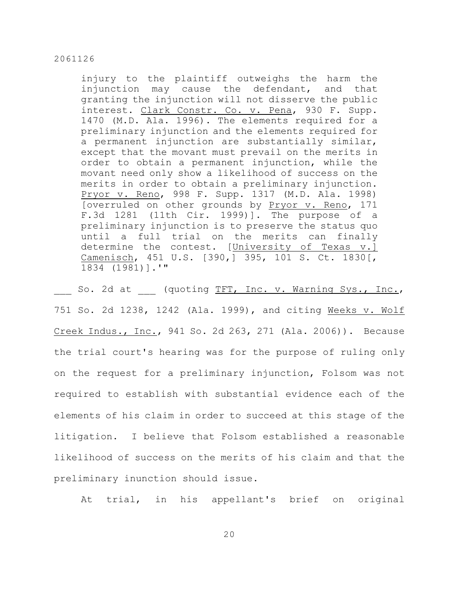injury to the plaintiff outweighs the harm the injunction may cause the defendant, and that granting the injunction will not disserve the public interest. Clark Constr. Co. v. Pena, 930 F. Supp. 1470 (M.D. Ala. 1996). The elements required for a preliminary injunction and the elements required for a permanent injunction are substantially similar, except that the movant must prevail on the merits in order to obtain a permanent injunction, while the movant need only show a likelihood of success on the merits in order to obtain a preliminary injunction. Pryor v. Reno, 998 F. Supp. 1317 (M.D. Ala. 1998) [overruled on other grounds by Pryor v. Reno, 171 F.3d 1281 (11th Cir. 1999)]. The purpose of a preliminary injunction is to preserve the status quo until a full trial on the merits can finally determine the contest. [University of Texas v.] Camenisch, 451 U.S. [390,] 395, 101 S. Ct. 1830[, 1834 (1981)].'"

So. 2d at (quoting TFT, Inc. v. Warning Sys., Inc., 751 So. 2d 1238, 1242 (Ala. 1999), and citing Weeks v. Wolf Creek Indus., Inc., 941 So. 2d 263, 271 (Ala. 2006)). Because the trial court's hearing was for the purpose of ruling only on the request for a preliminary injunction, Folsom was not required to establish with substantial evidence each of the elements of his claim in order to succeed at this stage of the litigation. I believe that Folsom established a reasonable likelihood of success on the merits of his claim and that the preliminary inunction should issue.

At trial, in his appellant's brief on original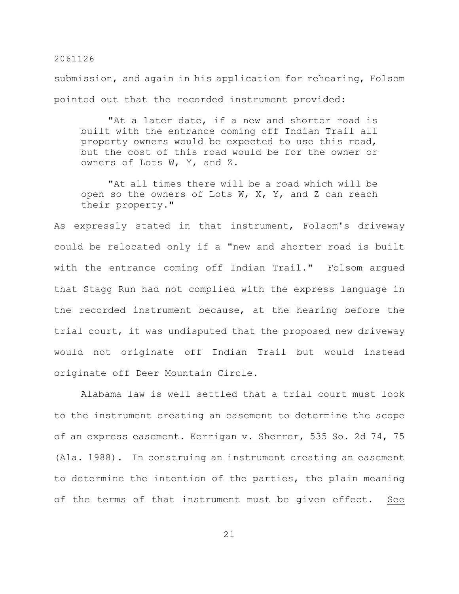submission, and again in his application for rehearing, Folsom pointed out that the recorded instrument provided:

"At a later date, if a new and shorter road is built with the entrance coming off Indian Trail all property owners would be expected to use this road, but the cost of this road would be for the owner or owners of Lots W, Y, and Z.

"At all times there will be a road which will be open so the owners of Lots W, X, Y, and Z can reach their property."

As expressly stated in that instrument, Folsom's driveway could be relocated only if a "new and shorter road is built with the entrance coming off Indian Trail." Folsom argued that Stagg Run had not complied with the express language in the recorded instrument because, at the hearing before the trial court, it was undisputed that the proposed new driveway would not originate off Indian Trail but would instead originate off Deer Mountain Circle.

Alabama law is well settled that a trial court must look to the instrument creating an easement to determine the scope of an express easement. Kerrigan v. Sherrer, 535 So. 2d 74, 75 (Ala. 1988). In construing an instrument creating an easement to determine the intention of the parties, the plain meaning of the terms of that instrument must be given effect. See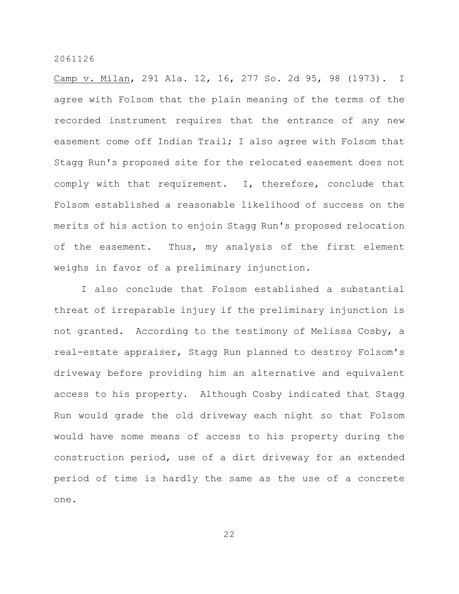Camp v. Milan, 291 Ala. 12, 16, 277 So. 2d 95, 98 (1973). I agree with Folsom that the plain meaning of the terms of the recorded instrument requires that the entrance of any new easement come off Indian Trail; I also agree with Folsom that Stagg Run's proposed site for the relocated easement does not comply with that requirement. I, therefore, conclude that Folsom established a reasonable likelihood of success on the merits of his action to enjoin Stagg Run's proposed relocation of the easement. Thus, my analysis of the first element weighs in favor of a preliminary injunction.

I also conclude that Folsom established a substantial threat of irreparable injury if the preliminary injunction is not granted. According to the testimony of Melissa Cosby, a real-estate appraiser, Stagg Run planned to destroy Folsom's driveway before providing him an alternative and equivalent access to his property. Although Cosby indicated that Stagg Run would grade the old driveway each night so that Folsom would have some means of access to his property during the construction period, use of a dirt driveway for an extended period of time is hardly the same as the use of a concrete one.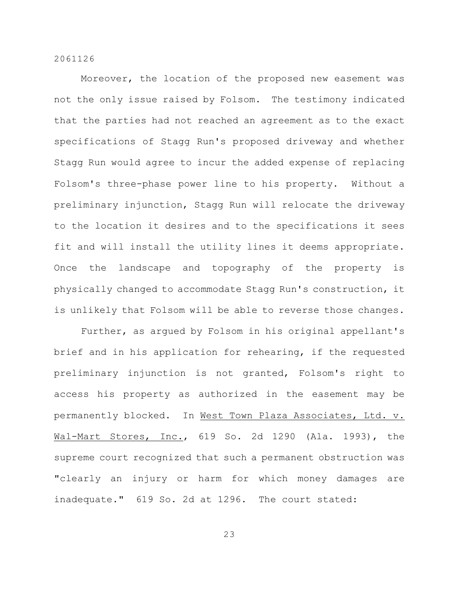Moreover, the location of the proposed new easement was not the only issue raised by Folsom. The testimony indicated that the parties had not reached an agreement as to the exact specifications of Stagg Run's proposed driveway and whether Stagg Run would agree to incur the added expense of replacing Folsom's three-phase power line to his property. Without a preliminary injunction, Stagg Run will relocate the driveway to the location it desires and to the specifications it sees fit and will install the utility lines it deems appropriate. Once the landscape and topography of the property is physically changed to accommodate Stagg Run's construction, it is unlikely that Folsom will be able to reverse those changes.

Further, as argued by Folsom in his original appellant's brief and in his application for rehearing, if the requested preliminary injunction is not granted, Folsom's right to access his property as authorized in the easement may be permanently blocked. In West Town Plaza Associates, Ltd. v. Wal-Mart Stores, Inc., 619 So. 2d 1290 (Ala. 1993), the supreme court recognized that such a permanent obstruction was "clearly an injury or harm for which money damages are inadequate." 619 So. 2d at 1296. The court stated: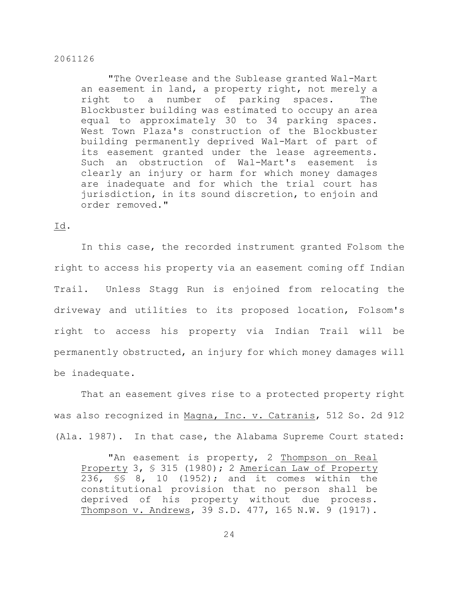"The Overlease and the Sublease granted Wal-Mart an easement in land, a property right, not merely a right to a number of parking spaces. The Blockbuster building was estimated to occupy an area equal to approximately 30 to 34 parking spaces. West Town Plaza's construction of the Blockbuster building permanently deprived Wal-Mart of part of its easement granted under the lease agreements. Such an obstruction of Wal-Mart's easement is clearly an injury or harm for which money damages are inadequate and for which the trial court has jurisdiction, in its sound discretion, to enjoin and order removed."

# Id.

In this case, the recorded instrument granted Folsom the right to access his property via an easement coming off Indian Trail. Unless Stagg Run is enjoined from relocating the driveway and utilities to its proposed location, Folsom's right to access his property via Indian Trail will be permanently obstructed, an injury for which money damages will be inadequate.

That an easement gives rise to a protected property right was also recognized in Magna, Inc. v. Catranis, 512 So. 2d 912 (Ala. 1987). In that case, the Alabama Supreme Court stated:

"An easement is property, 2 Thompson on Real Property 3, § 315 (1980); 2 American Law of Property 236, §§ 8, 10 (1952); and it comes within the constitutional provision that no person shall be deprived of his property without due process. Thompson v. Andrews, 39 S.D. 477, 165 N.W. 9 (1917).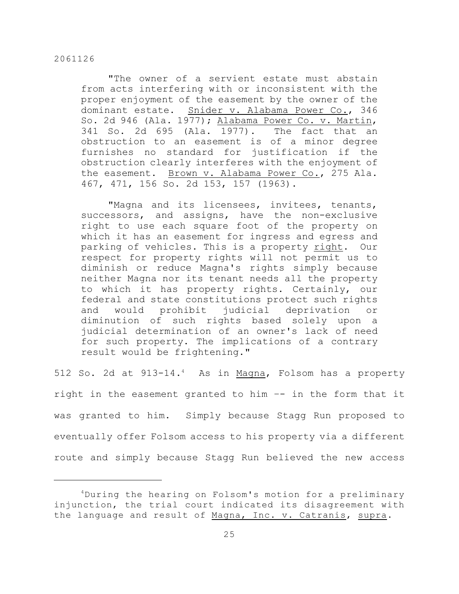"The owner of a servient estate must abstain from acts interfering with or inconsistent with the proper enjoyment of the easement by the owner of the dominant estate. Snider v. Alabama Power Co., 346 So. 2d 946 (Ala. 1977); Alabama Power Co. v. Martin, 341 So. 2d 695 (Ala. 1977). The fact that an obstruction to an easement is of a minor degree furnishes no standard for justification if the obstruction clearly interferes with the enjoyment of the easement. Brown v. Alabama Power Co., 275 Ala. 467, 471, 156 So. 2d 153, 157 (1963).

"Magna and its licensees, invitees, tenants, successors, and assigns, have the non-exclusive right to use each square foot of the property on which it has an easement for ingress and egress and parking of vehicles. This is a property right. Our respect for property rights will not permit us to diminish or reduce Magna's rights simply because neither Magna nor its tenant needs all the property to which it has property rights. Certainly, our federal and state constitutions protect such rights and would prohibit judicial deprivation or diminution of such rights based solely upon a judicial determination of an owner's lack of need for such property. The implications of a contrary result would be frightening."

512 So. 2d at 913-14.<sup>4</sup> As in Magna, Folsom has a property right in the easement granted to him –- in the form that it was granted to him. Simply because Stagg Run proposed to eventually offer Folsom access to his property via a different route and simply because Stagg Run believed the new access

 $4$ During the hearing on Folsom's motion for a preliminary injunction, the trial court indicated its disagreement with the language and result of Magna, Inc. v. Catranis, supra.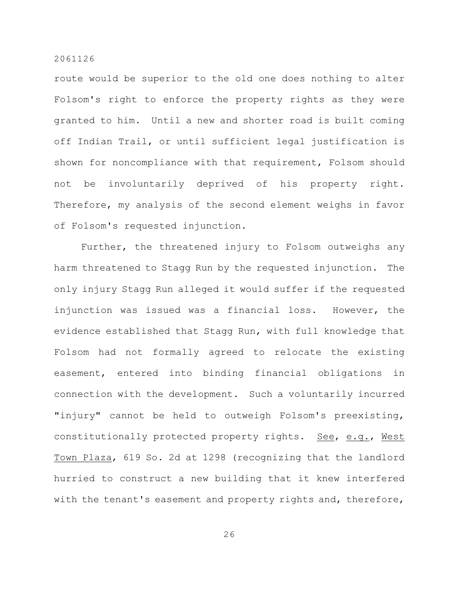route would be superior to the old one does nothing to alter Folsom's right to enforce the property rights as they were granted to him. Until a new and shorter road is built coming off Indian Trail, or until sufficient legal justification is shown for noncompliance with that requirement, Folsom should not be involuntarily deprived of his property right. Therefore, my analysis of the second element weighs in favor of Folsom's requested injunction.

Further, the threatened injury to Folsom outweighs any harm threatened to Stagg Run by the requested injunction. The only injury Stagg Run alleged it would suffer if the requested injunction was issued was a financial loss. However, the evidence established that Stagg Run, with full knowledge that Folsom had not formally agreed to relocate the existing easement, entered into binding financial obligations in connection with the development. Such a voluntarily incurred "injury" cannot be held to outweigh Folsom's preexisting, constitutionally protected property rights. See, e.g., West Town Plaza, 619 So. 2d at 1298 (recognizing that the landlord hurried to construct a new building that it knew interfered with the tenant's easement and property rights and, therefore,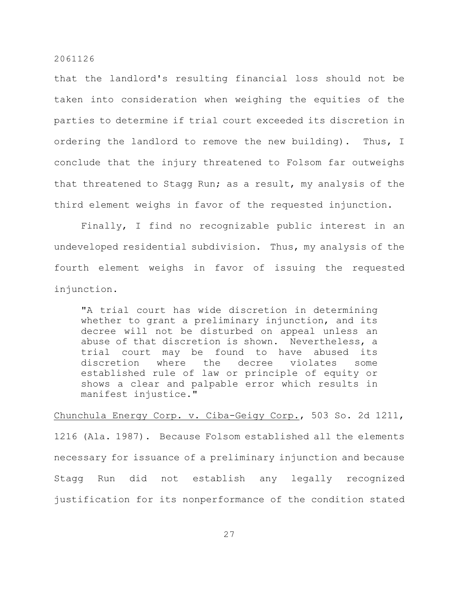that the landlord's resulting financial loss should not be taken into consideration when weighing the equities of the parties to determine if trial court exceeded its discretion in ordering the landlord to remove the new building). Thus, I conclude that the injury threatened to Folsom far outweighs that threatened to Stagg Run; as a result, my analysis of the third element weighs in favor of the requested injunction.

Finally, I find no recognizable public interest in an undeveloped residential subdivision. Thus, my analysis of the fourth element weighs in favor of issuing the requested injunction.

"A trial court has wide discretion in determining whether to grant a preliminary injunction, and its decree will not be disturbed on appeal unless an abuse of that discretion is shown. Nevertheless, a trial court may be found to have abused its discretion where the decree violates some established rule of law or principle of equity or shows a clear and palpable error which results in manifest injustice."

Chunchula Energy Corp. v. Ciba-Geigy Corp., 503 So. 2d 1211, 1216 (Ala. 1987). Because Folsom established all the elements necessary for issuance of a preliminary injunction and because Stagg Run did not establish any legally recognized justification for its nonperformance of the condition stated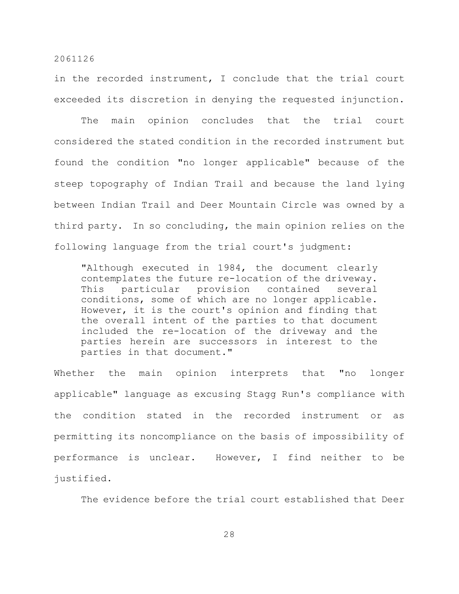in the recorded instrument, I conclude that the trial court exceeded its discretion in denying the requested injunction.

The main opinion concludes that the trial court considered the stated condition in the recorded instrument but found the condition "no longer applicable" because of the steep topography of Indian Trail and because the land lying between Indian Trail and Deer Mountain Circle was owned by a third party. In so concluding, the main opinion relies on the following language from the trial court's judgment:

"Although executed in 1984, the document clearly contemplates the future re-location of the driveway. This particular provision contained several conditions, some of which are no longer applicable. However, it is the court's opinion and finding that the overall intent of the parties to that document included the re-location of the driveway and the parties herein are successors in interest to the parties in that document."

Whether the main opinion interprets that "no longer applicable" language as excusing Stagg Run's compliance with the condition stated in the recorded instrument or as permitting its noncompliance on the basis of impossibility of performance is unclear. However, I find neither to be justified.

The evidence before the trial court established that Deer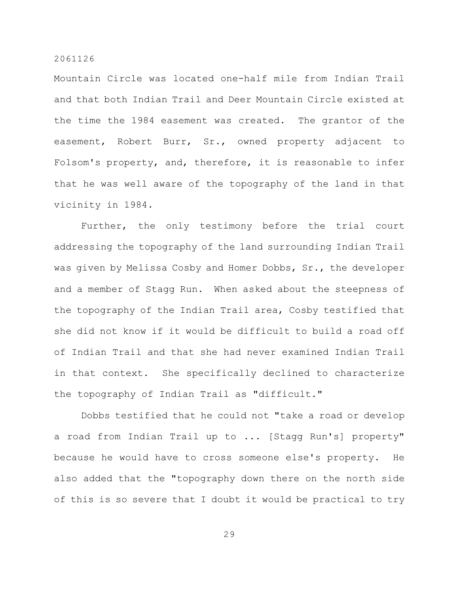Mountain Circle was located one-half mile from Indian Trail and that both Indian Trail and Deer Mountain Circle existed at the time the 1984 easement was created. The grantor of the easement, Robert Burr, Sr., owned property adjacent to Folsom's property, and, therefore, it is reasonable to infer that he was well aware of the topography of the land in that vicinity in 1984.

Further, the only testimony before the trial court addressing the topography of the land surrounding Indian Trail was given by Melissa Cosby and Homer Dobbs, Sr., the developer and a member of Stagg Run. When asked about the steepness of the topography of the Indian Trail area, Cosby testified that she did not know if it would be difficult to build a road off of Indian Trail and that she had never examined Indian Trail in that context. She specifically declined to characterize the topography of Indian Trail as "difficult."

Dobbs testified that he could not "take a road or develop a road from Indian Trail up to ... [Stagg Run's] property" because he would have to cross someone else's property. He also added that the "topography down there on the north side of this is so severe that I doubt it would be practical to try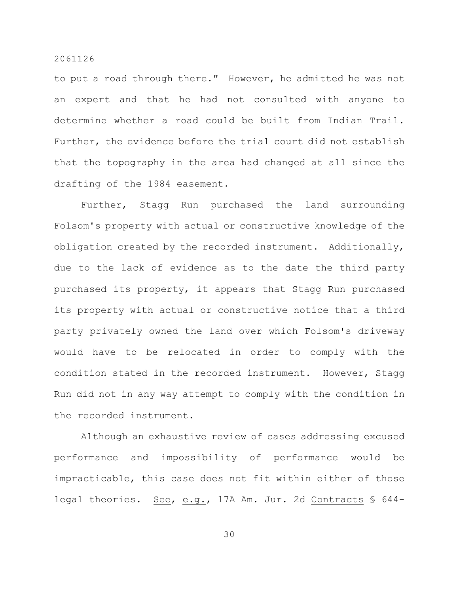to put a road through there." However, he admitted he was not an expert and that he had not consulted with anyone to determine whether a road could be built from Indian Trail. Further, the evidence before the trial court did not establish that the topography in the area had changed at all since the drafting of the 1984 easement.

Further, Stagg Run purchased the land surrounding Folsom's property with actual or constructive knowledge of the obligation created by the recorded instrument. Additionally, due to the lack of evidence as to the date the third party purchased its property, it appears that Stagg Run purchased its property with actual or constructive notice that a third party privately owned the land over which Folsom's driveway would have to be relocated in order to comply with the condition stated in the recorded instrument. However, Stagg Run did not in any way attempt to comply with the condition in the recorded instrument.

Although an exhaustive review of cases addressing excused performance and impossibility of performance would be impracticable, this case does not fit within either of those legal theories. See, e.g., 17A Am. Jur. 2d Contracts § 644-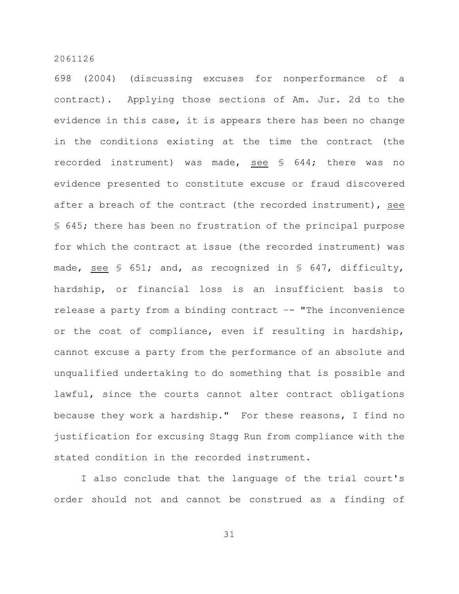698 (2004) (discussing excuses for nonperformance of a contract). Applying those sections of Am. Jur. 2d to the evidence in this case, it is appears there has been no change in the conditions existing at the time the contract (the recorded instrument) was made, see § 644; there was no evidence presented to constitute excuse or fraud discovered after a breach of the contract (the recorded instrument), see § 645; there has been no frustration of the principal purpose for which the contract at issue (the recorded instrument) was made, see § 651; and, as recognized in § 647, difficulty, hardship, or financial loss is an insufficient basis to release a party from a binding contract –- "The inconvenience or the cost of compliance, even if resulting in hardship, cannot excuse a party from the performance of an absolute and unqualified undertaking to do something that is possible and lawful, since the courts cannot alter contract obligations because they work a hardship." For these reasons, I find no justification for excusing Stagg Run from compliance with the stated condition in the recorded instrument.

I also conclude that the language of the trial court's order should not and cannot be construed as a finding of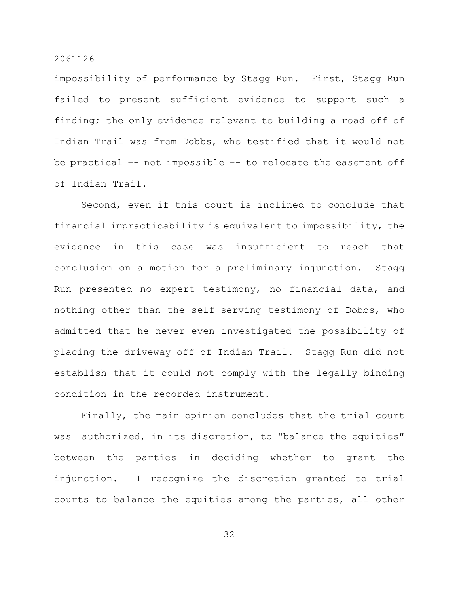impossibility of performance by Stagg Run. First, Stagg Run failed to present sufficient evidence to support such a finding; the only evidence relevant to building a road off of Indian Trail was from Dobbs, who testified that it would not be practical –- not impossible –- to relocate the easement off of Indian Trail.

Second, even if this court is inclined to conclude that financial impracticability is equivalent to impossibility, the evidence in this case was insufficient to reach that conclusion on a motion for a preliminary injunction. Stagg Run presented no expert testimony, no financial data, and nothing other than the self-serving testimony of Dobbs, who admitted that he never even investigated the possibility of placing the driveway off of Indian Trail. Stagg Run did not establish that it could not comply with the legally binding condition in the recorded instrument.

Finally, the main opinion concludes that the trial court was authorized, in its discretion, to "balance the equities" between the parties in deciding whether to grant the injunction. I recognize the discretion granted to trial courts to balance the equities among the parties, all other